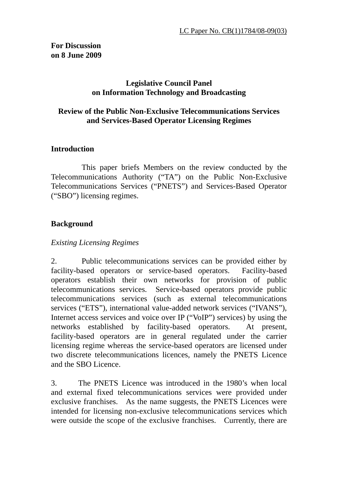## **Legislative Council Panel on Information Technology and Broadcasting**

## **Review of the Public Non-Exclusive Telecommunications Services and Services-Based Operator Licensing Regimes**

## **Introduction**

 This paper briefs Members on the review conducted by the Telecommunications Authority ("TA") on the Public Non-Exclusive Telecommunications Services ("PNETS") and Services-Based Operator ("SBO") licensing regimes.

## **Background**

### *Existing Licensing Regimes*

2. Public telecommunications services can be provided either by facility-based operators or service-based operators. Facility-based operators establish their own networks for provision of public telecommunications services. Service-based operators provide public telecommunications services (such as external telecommunications services ("ETS"), international value-added network services ("IVANS"), Internet access services and voice over IP ("VoIP") services) by using the networks established by facility-based operators. At present, facility-based operators are in general regulated under the carrier licensing regime whereas the service-based operators are licensed under two discrete telecommunications licences, namely the PNETS Licence and the SBO Licence.

3. The PNETS Licence was introduced in the 1980's when local and external fixed telecommunications services were provided under exclusive franchises. As the name suggests, the PNETS Licences were intended for licensing non-exclusive telecommunications services which were outside the scope of the exclusive franchises. Currently, there are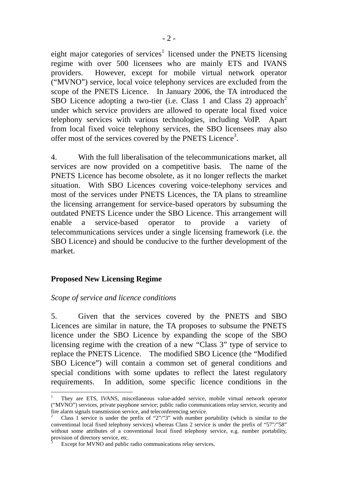eight major categories of services<sup>1</sup> licensed under the PNETS licensing regime with over 500 licensees who are mainly ETS and IVANS providers. However, except for mobile virtual network operator ("MVNO") service, local voice telephony services are excluded from the scope of the PNETS Licence. In January 2006, the TA introduced the SBO Licence adopting a two-tier (i.e. Class 1 and Class 2) approach<sup>2</sup> under which service providers are allowed to operate local fixed voice telephony services with various technologies, including VoIP. Apart from local fixed voice telephony services, the SBO licensees may also offer most of the services covered by the PNETS Licence<sup>3</sup>.

4. With the full liberalisation of the telecommunications market, all services are now provided on a competitive basis. The name of the PNETS Licence has become obsolete, as it no longer reflects the market situation. With SBO Licences covering voice-telephony services and most of the services under PNETS Licences, the TA plans to streamline the licensing arrangement for service-based operators by subsuming the outdated PNETS Licence under the SBO Licence. This arrangement will enable a service-based operator to provide a variety of telecommunications services under a single licensing framework (i.e. the SBO Licence) and should be conducive to the further development of the market.

#### **Proposed New Licensing Regime**

 $\overline{a}$ 

#### *Scope of service and licence conditions*

5. Given that the services covered by the PNETS and SBO Licences are similar in nature, the TA proposes to subsume the PNETS licence under the SBO Licence by expanding the scope of the SBO licensing regime with the creation of a new "Class 3" type of service to replace the PNETS Licence. The modified SBO Licence (the "Modified SBO Licence") will contain a common set of general conditions and special conditions with some updates to reflect the latest regulatory requirements. In addition, some specific licence conditions in the

<sup>1</sup> They are ETS, IVANS, miscellaneous value-added service, mobile virtual network operator ("MVNO") services, private payphone service; public radio communications relay service, security and fire alarm signals transmission service, and teleconferencing service. 2

Class 1 service is under the prefix of "2"/"3" with number portability (which is similar to the conventional local fixed telephony services) whereas Class 2 service is under the prefix of "57"/"58" without some attributes of a conventional local fixed telephony service, e.g. number portability, provision of directory service, etc. 3

Except for MVNO and public radio communications relay services.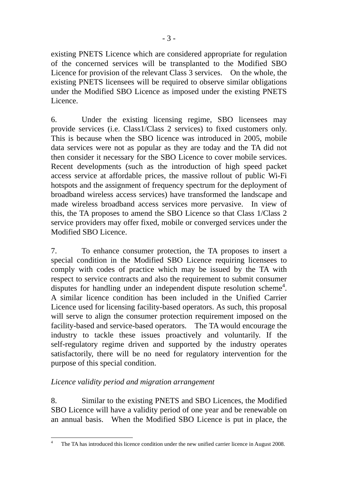existing PNETS Licence which are considered appropriate for regulation of the concerned services will be transplanted to the Modified SBO Licence for provision of the relevant Class 3 services. On the whole, the existing PNETS licensees will be required to observe similar obligations under the Modified SBO Licence as imposed under the existing PNETS Licence.

6. Under the existing licensing regime, SBO licensees may provide services (i.e. Class1/Class 2 services) to fixed customers only. This is because when the SBO licence was introduced in 2005, mobile data services were not as popular as they are today and the TA did not then consider it necessary for the SBO Licence to cover mobile services. Recent developments (such as the introduction of high speed packet access service at affordable prices, the massive rollout of public Wi-Fi hotspots and the assignment of frequency spectrum for the deployment of broadband wireless access services) have transformed the landscape and made wireless broadband access services more pervasive. In view of this, the TA proposes to amend the SBO Licence so that Class 1/Class 2 service providers may offer fixed, mobile or converged services under the Modified SBO Licence.

7. To enhance consumer protection, the TA proposes to insert a special condition in the Modified SBO Licence requiring licensees to comply with codes of practice which may be issued by the TA with respect to service contracts and also the requirement to submit consumer disputes for handling under an independent dispute resolution scheme<sup>4</sup>. A similar licence condition has been included in the Unified Carrier Licence used for licensing facility-based operators. As such, this proposal will serve to align the consumer protection requirement imposed on the facility-based and service-based operators. The TA would encourage the industry to tackle these issues proactively and voluntarily. If the self-regulatory regime driven and supported by the industry operates satisfactorily, there will be no need for regulatory intervention for the purpose of this special condition.

## *Licence validity period and migration arrangement*

8. Similar to the existing PNETS and SBO Licences, the Modified SBO Licence will have a validity period of one year and be renewable on an annual basis. When the Modified SBO Licence is put in place, the

 $\frac{1}{4}$ The TA has introduced this licence condition under the new unified carrier licence in August 2008.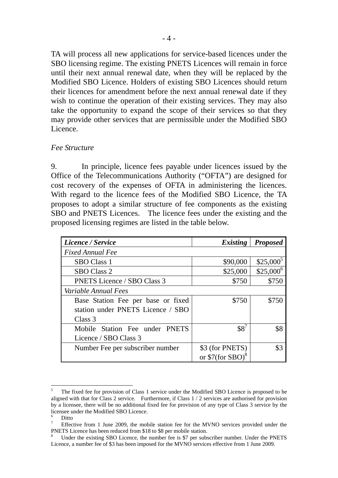TA will process all new applications for service-based licences under the SBO licensing regime. The existing PNETS Licences will remain in force until their next annual renewal date, when they will be replaced by the Modified SBO Licence. Holders of existing SBO Licences should return their licences for amendment before the next annual renewal date if they wish to continue the operation of their existing services. They may also take the opportunity to expand the scope of their services so that they may provide other services that are permissible under the Modified SBO Licence.

#### *Fee Structure*

9. In principle, licence fees payable under licences issued by the Office of the Telecommunications Authority ("OFTA") are designed for cost recovery of the expenses of OFTA in administering the licences. With regard to the licence fees of the Modified SBO Licence, the TA proposes to adopt a similar structure of fee components as the existing SBO and PNETS Licences. The licence fees under the existing and the proposed licensing regimes are listed in the table below.

| Licence / Service                  | <b>Existing</b>   | <b>Proposed</b> |
|------------------------------------|-------------------|-----------------|
| <b>Fixed Annual Fee</b>            |                   |                 |
| <b>SBO</b> Class 1                 | \$90,000          | $$25,000^5$     |
| <b>SBO Class 2</b>                 | \$25,000          | $$25,000^6$     |
| <b>PNETS Licence / SBO Class 3</b> | \$750             | \$750           |
| Variable Annual Fees               |                   |                 |
| Base Station Fee per base or fixed | \$750             | \$750           |
| station under PNETS Licence / SBO  |                   |                 |
| Class 3                            |                   |                 |
| Mobile Station Fee under PNETS     | $$8^7$            | \$8             |
| Licence / SBO Class 3              |                   |                 |
| Number Fee per subscriber number   | \$3 (for PNETS)   | \$3             |
|                                    | or $$7(for SBO)8$ |                 |

 $\overline{a}$ 

<sup>5</sup> The fixed fee for provision of Class 1 service under the Modified SBO Licence is proposed to be aligned with that for Class 2 service. Furthermore, if Class 1 / 2 services are authorised for provision by a licensee, there will be no additional fixed fee for provision of any type of Class 3 service by the licensee under the Modified SBO Licence.

<sup>6</sup> Ditto

<sup>7</sup> Effective from 1 June 2009, the mobile station fee for the MVNO services provided under the PNETS Licence has been reduced from \$18 to \$8 per mobile station.

<sup>8</sup> Under the existing SBO Licence, the number fee is \$7 per subscriber number. Under the PNETS Licence, a number fee of \$3 has been imposed for the MVNO services effective from 1 June 2009.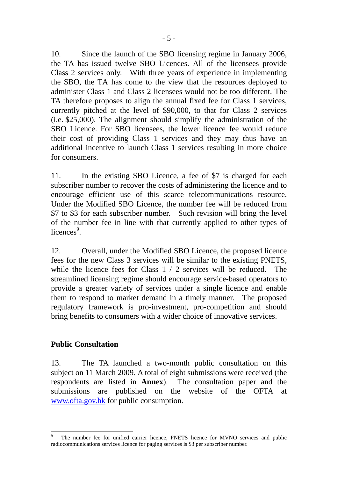10. Since the launch of the SBO licensing regime in January 2006, the TA has issued twelve SBO Licences. All of the licensees provide Class 2 services only. With three years of experience in implementing the SBO, the TA has come to the view that the resources deployed to administer Class 1 and Class 2 licensees would not be too different. The TA therefore proposes to align the annual fixed fee for Class 1 services, currently pitched at the level of \$90,000, to that for Class 2 services (i.e. \$25,000). The alignment should simplify the administration of the SBO Licence. For SBO licensees, the lower licence fee would reduce their cost of providing Class 1 services and they may thus have an additional incentive to launch Class 1 services resulting in more choice for consumers.

11. In the existing SBO Licence, a fee of \$7 is charged for each subscriber number to recover the costs of administering the licence and to encourage efficient use of this scarce telecommunications resource. Under the Modified SBO Licence, the number fee will be reduced from \$7 to \$3 for each subscriber number. Such revision will bring the level of the number fee in line with that currently applied to other types of licences<sup>9</sup>.

12. Overall, under the Modified SBO Licence, the proposed licence fees for the new Class 3 services will be similar to the existing PNETS, while the licence fees for Class  $1/2$  services will be reduced. The streamlined licensing regime should encourage service-based operators to provide a greater variety of services under a single licence and enable them to respond to market demand in a timely manner. The proposed regulatory framework is pro-investment, pro-competition and should bring benefits to consumers with a wider choice of innovative services.

## **Public Consultation**

 $\overline{a}$ 

13. The TA launched a two-month public consultation on this subject on 11 March 2009. A total of eight submissions were received (the respondents are listed in **Annex**). The consultation paper and the submissions are published on the website of the OFTA at www.ofta.gov.hk for public consumption.

<sup>9</sup> The number fee for unified carrier licence, PNETS licence for MVNO services and public radiocommunications services licence for paging services is \$3 per subscriber number.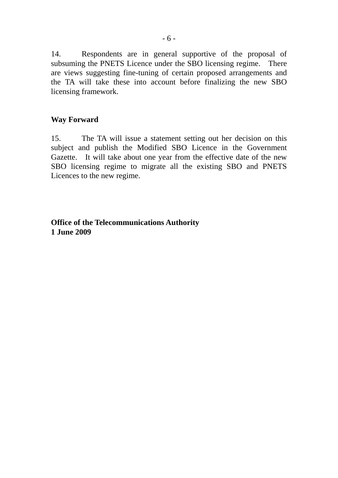14. Respondents are in general supportive of the proposal of subsuming the PNETS Licence under the SBO licensing regime. There are views suggesting fine-tuning of certain proposed arrangements and the TA will take these into account before finalizing the new SBO licensing framework.

#### **Way Forward**

15. The TA will issue a statement setting out her decision on this subject and publish the Modified SBO Licence in the Government Gazette. It will take about one year from the effective date of the new SBO licensing regime to migrate all the existing SBO and PNETS Licences to the new regime.

**Office of the Telecommunications Authority 1 June 2009**